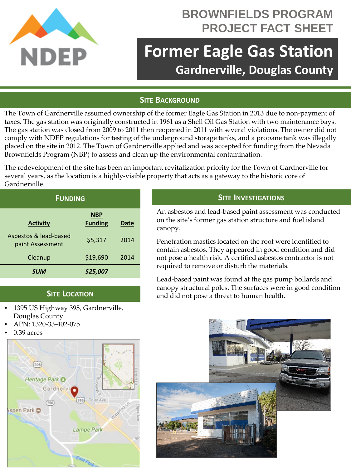

## **BROWNFIELDS PROGRAM PROJECT FACT SHEET**

# **Former Eagle Gas Station Gardnerville, Douglas County**

### **SITE BACKGROUND**

The Town of Gardnerville assumed ownership of the former Eagle Gas Station in 2013 due to non-payment of taxes. The gas station was originally constructed in 1961 as a Shell Oil Gas Station with two maintenance bays. The gas station was closed from 2009 to 2011 then reopened in 2011 with several violations. The owner did not comply with NDEP regulations for testing of the underground storage tanks, and a propane tank was illegally placed on the site in 2012. The Town of Gardnerville applied and was accepted for funding from the Nevada Brownfields Program (NBP) to assess and clean up the environmental contamination.

The redevelopment of the site has been an important revitalization priority for the Town of Gardnerville for several years, as the location is a highly-visible property that acts as a gateway to the historic core of Gardnerville.

| <b>FUNDING</b>                            |                              |      |
|-------------------------------------------|------------------------------|------|
| <b>Activity</b>                           | <b>NBP</b><br><b>Funding</b> | Date |
| Asbestos & lead-based<br>paint Assessment | \$5,317                      | 2014 |
| Cleanup                                   | \$19,690                     | 2014 |
| <b>SUM</b>                                | \$25.007                     |      |

#### **SITE LOCATION**

- 1395 US Highway 395, Gardnerville, Douglas County
- APN: 1320-33-402-075
- 0.39 acres



#### **SITE INVESTIGATIONS**

An asbestos and lead-based paint assessment was conducted on the site's former gas station structure and fuel island canopy.

Penetration mastics located on the roof were identified to contain asbestos. They appeared in good condition and did not pose a health risk. A certified asbestos contractor is not required to remove or disturb the materials.

Lead-based paint was found at the gas pump bollards and canopy structural poles. The surfaces were in good condition and did not pose a threat to human health.